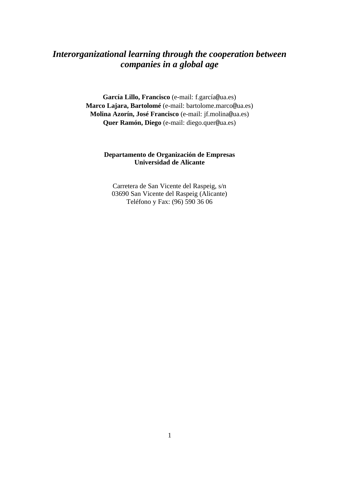# *Interorganizational learning through the cooperation between companies in a global age*

**García Lillo, Francisco** (e-mail: f.garcía@ua.es) **Marco Lajara, Bartolomé** (e-mail: bartolome.marco@ua.es) **Molina Azorín, José Francisco** (e-mail: jf.molina@ua.es) **Quer Ramón, Diego** (e-mail: diego.quer@ua.es)

## **Departamento de Organización de Empresas Universidad de Alicante**

Carretera de San Vicente del Raspeig, s/n 03690 San Vicente del Raspeig (Alicante) Teléfono y Fax: (96) 590 36 06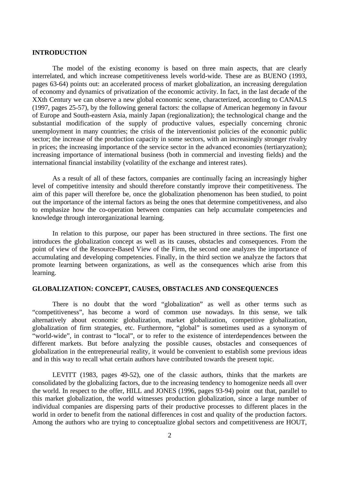#### **INTRODUCTION**

The model of the existing economy is based on three main aspects, that are clearly interrelated, and which increase competitiveness levels world-wide. These are as BUENO (1993, pages 63-64) points out: an accelerated process of market globalization, an increasing deregulation of economy and dynamics of privatization of the economic activity. In fact, in the last decade of the XXth Century we can observe a new global economic scene, characterized, according to CANALS (1997, pages 25-57), by the following general factors: the collapse of American hegemony in favour of Europe and South-eastern Asia, mainly Japan (regionalization); the technological change and the substantial modification of the supply of productive values, especially concerning chronic unemployment in many countries; the crisis of the interventionist policies of the economic public sector; the increase of the production capacity in some sectors, with an increasingly stronger rivalry in prices; the increasing importance of the service sector in the advanced economies (tertiaryzation); increasing importance of international business (both in commercial and investing fields) and the international financial instability (volatility of the exchange and interest rates).

As a result of all of these factors, companies are continually facing an increasingly higher level of competitive intensity and should therefore constantly improve their competitiveness. The aim of this paper will therefore be, once the globalization phenomenon has been studied, to point out the importance of the internal factors as being the ones that determine competitiveness, and also to emphasize how the co-operation between companies can help accumulate competencies and knowledge through interorganizational learning.

In relation to this purpose, our paper has been structured in three sections. The first one introduces the globalization concept as well as its causes, obstacles and consequences. From the point of view of the Resource-Based View of the Firm, the second one analyzes the importance of accumulating and developing competencies. Finally, in the third section we analyze the factors that promote learning between organizations, as well as the consequences which arise from this learning.

#### **GLOBALIZATION: CONCEPT, CAUSES, OBSTACLES AND CONSEQUENCES**

There is no doubt that the word "globalization" as well as other terms such as "competitiveness", has become a word of common use nowadays. In this sense, we talk alternatively about economic globalization, market globalization, competitive globalization, globalization of firm strategies, etc. Furthermore, "global" is sometimes used as a synonym of "world-wide", in contrast to "local", or to refer to the existence of interdependences between the different markets. But before analyzing the possible causes, obstacles and consequences of globalization in the entrepreneurial reality, it would be convenient to establish some previous ideas and in this way to recall what certain authors have contributed towards the present topic.

LEVITT (1983, pages 49-52), one of the classic authors, thinks that the markets are consolidated by the globalizing factors, due to the increasing tendency to homogenize needs all over the world. In respect to the offer, HILL and JONES (1996, pages 93-94) point out that, parallel to this market globalization, the world witnesses production globalization, since a large number of individual companies are dispersing parts of their productive processes to different places in the world in order to benefit from the national differences in cost and quality of the production factors. Among the authors who are trying to conceptualize global sectors and competitiveness are HOUT,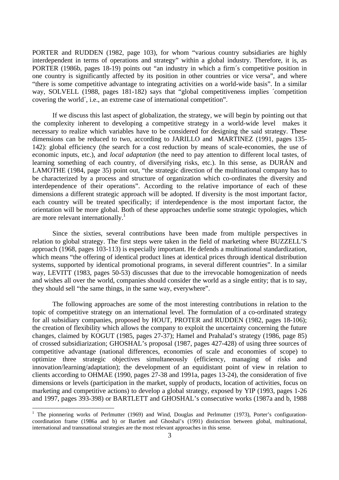PORTER and RUDDEN (1982, page 103), for whom "various country subsidiaries are highly interdependent in terms of operations and strategy" within a global industry. Therefore, it is, as PORTER (1986b, pages 18-19) points out "an industry in which a firm´s competitive position in one country is significantly affected by its position in other countries or vice versa", and where "there is some competitive advantage to integrating activities on a world-wide basis". In a similar way, SOLVELL (1988, pages 181-182) says that "global competitiveness implies ´competition covering the world´, i.e., an extreme case of international competition".

If we discuss this last aspect of globalization, the strategy, we will begin by pointing out that the complexity inherent to developing a competitive strategy in a world-wide level makes it necessary to realize which variables have to be considered for designing the said strategy. These dimensions can be reduced to two, according to JARILLO and MARTINEZ (1991, pages 135- 142): global efficiency (the search for a cost reduction by means of scale-economies, the use of economic inputs, etc.), and *local adaptation* (the need to pay attention to different local tastes, of learning something of each country, of diversifying risks, etc.). In this sense, as DURÁN and LAMOTHE (1984, page 35) point out, "the strategic direction of the multinational company has to be characterized by a process and structure of organization which co-ordinates the diversity and interdependence of their operations". According to the relative importance of each of these dimensions a different strategic approach will be adopted. If diversity is the most important factor, each country will be treated specifically; if interdependence is the most important factor, the orientation will be more global. Both of these approaches underlie some strategic typologies, which are more relevant internationally.<sup>1</sup>

Since the sixties, several contributions have been made from multiple perspectives in relation to global strategy. The first steps were taken in the field of marketing where BUZZELL'S approach (1968, pages 103-113) is especially important. He defends a multinational standardization, which means "the offering of identical product lines at identical prices through identical distribution systems, supported by identical promotional programs, in several different countries". In a similar way, LEVITT (1983, pages 50-53) discusses that due to the irrevocable homogenization of needs and wishes all over the world, companies should consider the world as a single entity; that is to say, they should sell "the same things, in the same way, everywhere".

The following approaches are some of the most interesting contributions in relation to the topic of competitive strategy on an international level. The formulation of a co-ordinated strategy for all subsidiary companies, proposed by HOUT, PROTER and RUDDEN (1982, pages 18-106); the creation of flexibility which allows the company to exploit the uncertainty concerning the future changes, claimed by KOGUT (1985, pages 27-37); Hamel and Prahalad's strategy (1986, page 85) of crossed subsidiarization; GHOSHAL's proposal (1987, pages 427-428) of using three sources of competitive advantage (national differences, economies of scale and economies of scope) to optimize three strategic objectives simultaneously (efficiency, managing of risks and innovation/learning/adaptation); the development of an equidistant point of view in relation to clients according to OHMAE (1990, pages 27-38 and 1991a, pages 13-24), the consideration of five dimensions or levels (participation in the market, supply of products, location of activities, focus on marketing and competitive actions) to develop a global strategy, exposed by YIP (1993, pages 1-26 and 1997, pages 393-398) or BARTLETT and GHOSHAL's consecutive works (1987a and b, 1988

 $\overline{a}$ 

<sup>&</sup>lt;sup>1</sup> The pionnering works of Perlmutter (1969) and Wind, Douglas and Perlmutter (1973), Porter's configurationcoordination frame (1986a and b) or Bartlett and Ghoshal's (1991) distinction between global, multinational, international and transnational strategies are the most relevant approaches in this sense.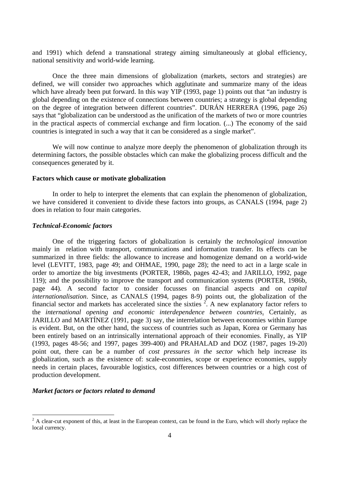and 1991) which defend a transnational strategy aiming simultaneously at global efficiency, national sensitivity and world-wide learning.

Once the three main dimensions of globalization (markets, sectors and strategies) are defined, we will consider two approaches which agglutinate and summarize many of the ideas which have already been put forward. In this way YIP (1993, page 1) points out that "an industry is global depending on the existence of connections between countries; a strategy is global depending on the degree of integration between different countries". DURÁN HERRERA (1996, page 26) says that "globalization can be understood as the unification of the markets of two or more countries in the practical aspects of commercial exchange and firm location. (...) The economy of the said countries is integrated in such a way that it can be considered as a single market".

We will now continue to analyze more deeply the phenomenon of globalization through its determining factors, the possible obstacles which can make the globalizing process difficult and the consequences generated by it.

#### **Factors which cause or motivate globalization**

In order to help to interpret the elements that can explain the phenomenon of globalization, we have considered it convenient to divide these factors into groups, as CANALS (1994, page 2) does in relation to four main categories.

#### *Technical-Economic factors*

One of the triggering factors of globalization is certainly the *technological innovation* mainly in relation with transport, communications and information transfer. Its effects can be summarized in three fields: the allowance to increase and homogenize demand on a world-wide level (LEVITT, 1983, page 49; and OHMAE, 1990, page 28); the need to act in a large scale in order to amortize the big investments (PORTER, 1986b, pages 42-43; and JARILLO, 1992, page 119); and the possibility to improve the transport and communication systems (PORTER, 1986b, page 44). A second factor to consider focusses on financial aspects and on *capital internationalisation*. Since, as CANALS (1994, pages 8-9) points out, the globalization of the financial sector and markets has accelerated since the sixties  $2$ . A new explanatory factor refers to the *international opening and economic interdependence between countries*. Certainly, as JARILLO and MARTÍNEZ (1991, page 3) say, the interrelation between economies within Europe is evident. But, on the other hand, the success of countries such as Japan, Korea or Germany has been entirely based on an intrinsically international approach of their economies. Finally, as YIP (1993, pages 48-56; and 1997, pages 399-400) and PRAHALAD and DOZ (1987, pages 19-20) point out, there can be a number of *cost pressures in the sector* which help increase its globalization, such as the existence of: scale-economies, scope or experience economies, supply needs in certain places, favourable logistics, cost differences between countries or a high cost of production development.

#### *Market factors or factors related to demand*

<sup>&</sup>lt;sup>2</sup> A clear-cut exponent of this, at least in the European context, can be found in the Euro, which will shorly replace the local currency.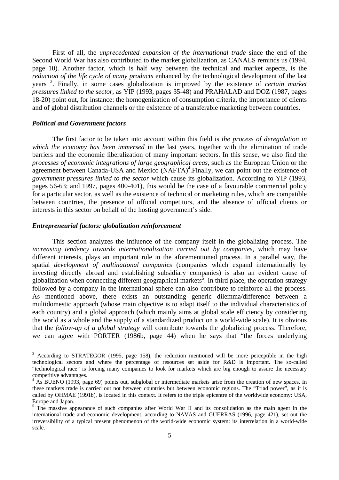First of all, the *unprecedented expansion of the international trade* since the end of the Second World War has also contributed to the market globalization, as CANALS reminds us (1994, page 10). Another factor, which is half way between the technical and market aspects, is the *reduction of the life cycle of many products* enhanced by the technological development of the last years <sup>3</sup> . Finally, in some cases globalization is improved by the existence of *certain market pressures linked to the sector*, as YIP (1993, pages 35-48) and PRAHALAD and DOZ (1987, pages 18-20) point out, for instance: the homogenization of consumption criteria, the importance of clients and of global distribution channels or the existence of a transferable marketing between countries.

#### *Political and Government factors*

 $\overline{a}$ 

The first factor to be taken into account within this field is *the process of deregulation in which the economy has been immersed* in the last years, together with the elimination of trade barriers and the economic liberalization of many important sectors. In this sense, we also find the *processes of economic integrations of large geographical areas*, such as the European Union or the agreement between Canada-USA and Mexico (NAFTA)<sup>4</sup>. Finally, we can point out the existence of *government pressures linked to the sector* which cause its globalization. According to YIP (1993, pages 56-63; and 1997, pages 400-401), this would be the case of a favourable commercial policy for a particular sector, as well as the existence of technical or marketing rules, which are compatible between countries, the presence of official competitors, and the absence of official clients or interests in this sector on behalf of the hosting government's side.

#### *Entrepreneurial factors: globalization reinforcement*

This section analyzes the influence of the company itself in the globalizing process. The *increasing tendency towards internationalisation carried out by companies*, which may have different interests, plays an important role in the aforementioned process. In a parallel way, the spatial *development of multinational companies* (companies which expand internationally by investing directly abroad and establishing subsidiary companies) is also an evident cause of globalization when connecting different geographical markets<sup>5</sup>. In third place, the operation strategy followed by a company in the international sphere can also contribute to reinforce all the process. As mentioned above, there exists an outstanding generic dilemma/difference between a multidomestic approach (whose main objective is to adapt itself to the individual characteristics of each country) and a global approach (which mainly aims at global scale efficiency by considering the world as a whole and the supply of a standardized product on a world-wide scale). It is obvious that the *follow-up of a global strategy* will contribute towards the globalizing process. Therefore, we can agree with PORTER (1986b, page 44) when he says that "the forces underlying

<sup>3</sup> According to STRATEGOR (1995, page 158), the reduction mentioned will be more perceptible in the high technological sectors and where the percentage of resources set aside for R&D is important. The so-called "technological race" is forcing many companies to look for markets which are big enough to assure the necessary competitive advantages.

<sup>&</sup>lt;sup>4</sup> As BUENO (1993, page 69) points out, subglobal or intermediate markets arise from the creation of new spaces. In these markets trade is carried out not between countries but between economic regions. The "Triad power", as it is called by OHMAE (1991b), is located in this context. It refers to the triple epicentre of the worldwide economy: USA, Europe and Japan.

<sup>&</sup>lt;sup>5</sup> The massive appearance of such companies after World War II and its consolidation as the main agent in the international trade and economic development, according to NAVAS and GUERRAS (1996, page 421), set out the irreversibility of a typical present phenomenon of the world-wide economic system: its interrelation in a world-wide scale.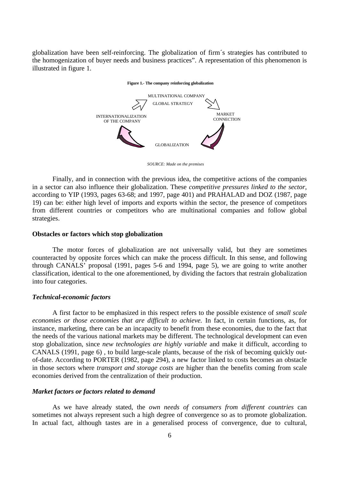globalization have been self-reinforcing. The globalization of firm´s strategies has contributed to the homogenization of buyer needs and business practices". A representation of this phenomenon is illustrated in figure 1.

#### **Figure 1.- The company reinforcing globalization**



*SOURCE: Made on the premises*

Finally, and in connection with the previous idea, the competitive actions of the companies in a sector can also influence their globalization. These *competitive pressures linked to the sector,* according to YIP (1993, pages 63-68; and 1997, page 401) and PRAHALAD and DOZ (1987, page 19) can be: either high level of imports and exports within the sector, the presence of competitors from different countries or competitors who are multinational companies and follow global strategies.

#### **Obstacles or factors which stop globalization**

The motor forces of globalization are not universally valid, but they are sometimes counteracted by opposite forces which can make the process difficult. In this sense, and following through CANALS' proposal (1991, pages 5-6 and 1994, page 5), we are going to write another classification, identical to the one aforementioned, by dividing the factors that restrain globalization into four categories.

#### *Technical-economic factors*

A first factor to be emphasized in this respect refers to the possible existence of *small scale economies or those economies that are difficult to achieve.* In fact, in certain functions, as, for instance, marketing, there can be an incapacity to benefit from these economies, due to the fact that the needs of the various national markets may be different. The technological development can even stop globalization, since *new technologies are highly variable* and make it difficult, according to CANALS (1991, page 6) , to build large-scale plants, because of the risk of becoming quickly outof-date. According to PORTER (1982, page 294), a new factor linked to costs becomes an obstacle in those sectors where *transport and storage costs* are higher than the benefits coming from scale economies derived from the centralization of their production.

#### *Market factors or factors related to demand*

As we have already stated, the *own needs of consumers from different countries* can sometimes not always represent such a high degree of convergence so as to promote globalization. In actual fact, although tastes are in a generalised process of convergence, due to cultural,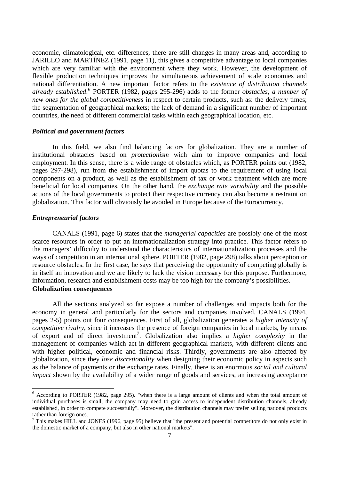economic, climatological, etc. differences, there are still changes in many areas and, according to JARILLO and MARTÍNEZ (1991, page 11), this gives a competitive advantage to local companies which are very familiar with the environment where they work. However, the development of flexible production techniques improves the simultaneous achievement of scale economies and national differentiation. A new important factor refers to the *existence of distribution channels already established*. 6 PORTER (1982, pages 295-296) adds to the former *obstacles*, *a number of new ones for the global competitiveness* in respect to certain products, such as: the delivery times; the segmentation of geographical markets; the lack of demand in a significant number of important countries, the need of different commercial tasks within each geographical location, etc.

#### *Political and government factors*

In this field, we also find balancing factors for globalization. They are a number of institutional obstacles based on *protectionism* wich aim to improve companies and local employment. In this sense, there is a wide range of obstacles which, as PORTER points out (1982, pages 297-298), run from the establishment of import quotas to the requirement of using local components on a product, as well as the establishment of tax or work treatment which are more beneficial for local companies. On the other hand, the *exchange rate variability* and the possible actions of the local governments to protect their respective currency can also become a restraint on globalization. This factor will obviously be avoided in Europe because of the Eurocurrency.

### *Entrepreneurial factors*

CANALS (1991, page 6) states that the *managerial capacities* are possibly one of the most scarce resources in order to put an internationalization strategy into practice. This factor refers to the managers' difficulty to understand the characteristics of internationalization processes and the ways of competition in an international sphere. PORTER (1982, page 298) talks about perception or resource obstacles. In the first case, he says that perceiving the opportunity of competing globally is in itself an innovation and we are likely to lack the vision necessary for this purpose. Furthermore, information, research and establishment costs may be too high for the company's possibilities. **Globalization consequences**

All the sections analyzed so far expose a number of challenges and impacts both for the economy in general and particularly for the sectors and companies involved. CANALS (1994, pages 2-5) points out four consequences. First of all, globalization generates a *higher intensity of competitive rivalry*, since it increases the presence of foreign companies in local markets, by means of export and of direct investment<sup>7</sup>. Globalization also implies a *higher complexity* in the management of companies which act in different geographical markets, with different clients and with higher political, economic and financial risks. Thirdly, governments are also affected by globalization, since they *lose discretionality* when designing their economic policy in aspects such as the balance of payments or the exchange rates. Finally, there is an enormous *social and cultural impact* shown by the availability of a wider range of goods and services, an increasing acceptance

 6 According to PORTER (1982, page 295). "when there is a large amount of clients and when the total amount of individual purchases is small, the company may need to gain access to independent distribution channels, already established, in order to compete successfully". Moreover, the distribution channels may prefer selling national products rather than foreign ones.

 $<sup>7</sup>$  This makes HILL and JONES (1996, page 95) believe that "the present and potential competitors do not only exist in</sup> the domestic market of a company, but also in other national markets".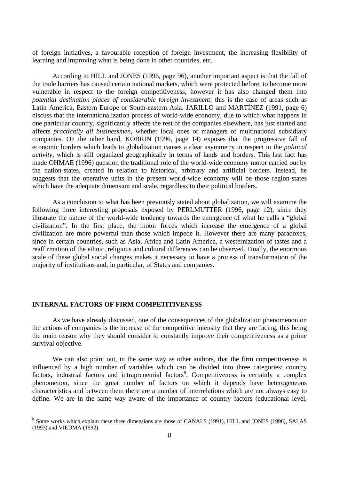of foreign initiatives, a favourable reception of foreign investment, the increasing flexibility of learning and improving what is being done in other countries, etc.

According to HILL and JONES (1996, page 96), another important aspect is that the fall of the trade barriers has caused certain national markets, which were protected before, to become more vulnerable in respect to the foreign competitiveness, however it has also changed them into *potential destination places of considerable foreign investment*; this is the case of areas such as Latin America, Eastern Europe or South-eastern Asia. JARILLO and MARTÍNEZ (1991, page 6) discuss that the internationalization process of world-wide economy, due to which what happens in one particular country, significantly affects the rest of the companies elsewhere, has just started and affects *practically all businessmen*, whether local ones or managers of multinational subsidiary companies. On the other hand, KOBRIN (1996, page 14) exposes that the progressive fall of economic borders which leads to globalization causes a clear asymmetry in respect to the *political activity*, which is still organized geographically in terms of lands and borders. This last fact has made OHMAE (1996) question the traditional role of the world-wide economy motor carried out by the nation-states, created in relation to historical, arbitrary and artificial borders. Instead, he suggests that the operative units in the present world-wide economy will be those region-states which have the adequate dimension and scale, regardless to their political borders.

As a conclusion to what has been previously stated about globalization, we will examine the following three interesting proposals exposed by PERLMUTTER (1996, page 12), since they illustrate the nature of the world-wide tendency towards the emergence of what he calls a "global civilization". In the first place, the motor forces which increase the emergence of a global civilization are more powerful than those which impede it. However there are many paradoxes, since in certain countries, such as Asia, Africa and Latin America, a westernization of tastes and a reaffirmation of the ethnic, religious and cultural differences can be observed. Finally, the enormous scale of these global social changes makes it necessary to have a process of transformation of the majority of institutions and, in particular, of States and companies.

#### **INTERNAL FACTORS OF FIRM COMPETITIVENESS**

 $\overline{a}$ 

As we have already discussed, one of the consequences of the globalization phenomenon on the actions of companies is the increase of the competitive intensity that they are facing, this being the main reason why they should consider to constantly improve their competitiveness as a prime survival objective.

We can also point out, in the same way as other authors, that the firm competitiveness is influenced by a high number of variables which can be divided into three categories: country factors, industrial factors and intrapreneurial factors<sup>8</sup>. Competitiveness is certainly a complex phenomenon, since the great number of factors on which it depends have heterogeneous characteristics and between them there are a number of interrelations which are not always easy to define. We are in the same way aware of the importance of country factors (educational level,

<sup>&</sup>lt;sup>8</sup> Some works which explain these three dimensions are those of CANALS (1991), HILL and JONES (1996), SALAS (1993) and VIEDMA (1992).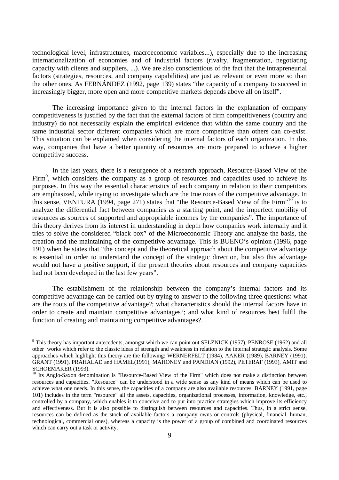technological level, infrastructures, macroeconomic variables...), especially due to the increasing internationalization of economies and of industrial factors (rivalry, fragmentation, negotiating capacity with clients and suppliers, ...). We are also conscientious of the fact that the intrapreneurial factors (strategies, resources, and company capabilities) are just as relevant or even more so than the other ones. As FERNÁNDEZ (1992, page 139) states "the capacity of a company to succeed in increasingly bigger, more open and more competitive markets depends above all on itself".

The increasing importance given to the internal factors in the explanation of company competitiveness is justified by the fact that the external factors of firm competitiveness (country and industry) do not necessarily explain the empirical evidence that within the same country and the same industrial sector different companies which are more competitive than others can co-exist. This situation can be explained when considering the internal factors of each organization. In this way, companies that have a better quantity of resources are more prepared to achieve a higher competitive success.

In the last years, there is a resurgence of a research approach, Resource-Based View of the Firm<sup>9</sup>, which considers the company as a group of resources and capacities used to achieve its purposes. In this way the essential characteristics of each company in relation to their competitors are emphasized, while trying to investigate which are the true roots of the competitive advantage. In this sense, VENTURA (1994, page 271) states that "the Resource-Based View of the Firm"<sup>10</sup> is to analyze the differential fact between companies as a starting point, and the imperfect mobility of resources as sources of supported and appropriable incomes by the companies". The importance of this theory derives from its interest in understanding in depth how companies work internally and it tries to solve the considered "black box" of the Microeconomic Theory and analyze the basis, the creation and the maintaining of the competitive advantage. This is BUENO's opinion (1996, page 191) when he states that "the concept and the theoretical approach about the competitive advantage is essential in order to understand the concept of the strategic direction, but also this advantage would not have a positive support, if the present theories about resources and company capacities had not been developed in the last few years".

The establishment of the relationship between the company's internal factors and its competitive advantage can be carried out by trying to answer to the following three questions: what are the roots of the competitive advantage?; what characteristics should the internal factors have in order to create and maintain competitive advantages?; and what kind of resources best fulfil the function of creating and maintaining competitive advantages?.

<sup>&</sup>lt;sup>9</sup> This theory has important antecedents, amongst which we can point out SELZNICK (1957), PENROSE (1962) and all other works which refer to the classic ideas of strength and weakness in relation to the internal strategic analysis. Some approaches which highlight this theory are the following: WERNERFELT (1984), AAKER (1989), BARNEY (1991), GRANT (1991), PRAHALAD and HAMEL(1991), MAHONEY and PANDIAN (1992), PETERAF (1993), AMIT and SCHOEMAKER (1993).

<sup>&</sup>lt;sup>10</sup> Its Anglo-Saxon denomination is "Resource-Based View of the Firm" which does not make a distinction between resources and capacities. "Resource" can be understood in a wide sense as any kind of means which can be used to achieve what one needs. In this sense, the capacities of a company are also available resources. BARNEY (1991, page 101) includes in the term "resource" all the assets, capacities, organizational processes, information, knowledge, etc., controlled by a company, which enables it to conceive and to put into practice strategies which improve its efficiency and effectiveness. But it is also possible to distinguish between resources and capacities. Thus, in a strict sense, resources can be defined as the stock of available factors a company owns or controls (physical, financial, human, technological, commercial ones), whereas a capacity is the power of a group of combined and coordinated resources which can carry out a task or activity.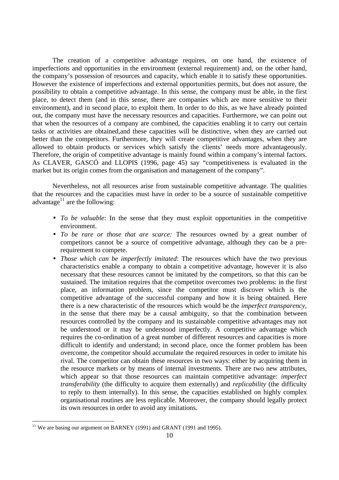The creation of a competitive advantage requires, on one hand, the existence of imperfections and opportunities in the environment (external requirement) and, on the other hand, the company's possession of resources and capacity, which enable it to satisfy these opportunities. However the existence of imperfections and external opportunities permits, but does not assure, the possibility to obtain a competitive advantage. In this sense, the company must be able, in the first place, to detect them (and in this sense, there are companies which are more sensitive to their environment), and in second place, to exploit them. In order to do this, as we have already pointed out, the company must have the necessary resources and capacities. Furthermore, we can point out that when the resources of a company are combined, the capacities enabling it to carry out certain tasks or activities are obtained,and these capacities will be distinctive, when they are carried out better than the competitors. Furthermore, they will create competitive advantages, when they are allowed to obtain products or services which satisfy the clients' needs more advantageously. Therefore, the origin of competitive advantage is mainly found within a company's internal factors. As CLAVER, GASCÓ and LLOPIS (1996, page 45) say "competitiveness is evaluated in the market but its origin comes from the organisation and management of the company".

Nevertheless, not all resources arise from sustainable competitive advantage. The qualities that the resources and the capacities must have in order to be a source of sustainable competitive advantage $^{11}$  are the following:

- *To be valuable*: In the sense that they must exploit opportunities in the competitive environment.
- *To be rare or those that are scarce:* The resources owned by a great number of competitors cannot be a source of competitive advantage, although they can be a prerequirement to compete.
- *Those which can be imperfectly imitated*: The resources which have the two previous characteristics enable a company to obtain a competitive advantage, however it is also necessary that these resources cannot be imitated by the competitors, so that this can be sustained. The imitation requires that the competitor overcomes two problems: in the first place, an information problem, since the competitor must discover which is the competitive advantage of the successful company and how it is being obtained. Here there is a new characteristic of the resources which would be the *imperfect transparency*, in the sense that there may be a causal ambiguity, so that the combination between resources controlled by the company and its sustainable competitive advantages may not be understood or it may be understood imperfectly. A competitive advantage which requires the co-ordination of a great number of different resources and capacities is more difficult to identify and understand; in second place, once the former problem has been overcome, the competitor should accumulate the required resources in order to imitate his rival. The competitor can obtain these resources in two ways: either by acquiring them in the resource markets or by means of internal investments. There are two new attributes, which appear so that those resources can maintain competitive advantage: *imperfect transferability* (the difficulty to acquire them externally) and *replicability* (the difficulty to reply to them internally). In this sense, the capacities established on highly complex organisational routines are less replicable. Moreover, the company should legally protect its own resources in order to avoid any imitations.

 $\overline{a}$ <sup>11</sup> We are basing our argument on BARNEY (1991) and GRANT (1991 and 1995).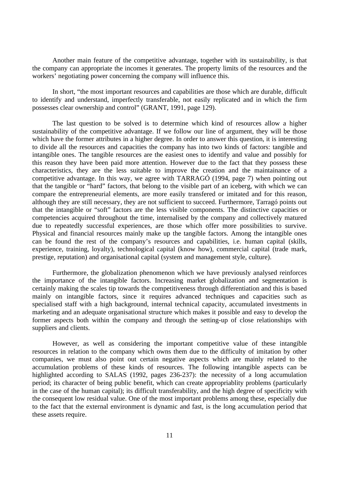Another main feature of the competitive advantage, together with its sustainability, is that the company can appropriate the incomes it generates. The property limits of the resources and the workers' negotiating power concerning the company will influence this.

In short, "the most important resources and capabilities are those which are durable, difficult to identify and understand, imperfectly transferable, not easily replicated and in which the firm possesses clear ownership and control" (GRANT, 1991, page 129).

The last question to be solved is to determine which kind of resources allow a higher sustainability of the competitive advantage. If we follow our line of argument, they will be those which have the former attributes in a higher degree. In order to answer this question, it is interesting to divide all the resources and capacities the company has into two kinds of factors: tangible and intangible ones. The tangible resources are the easiest ones to identify and value and possibly for this reason they have been paid more attention. However due to the fact that they possess these characteristics, they are the less suitable to improve the creation and the maintainance of a competitive advantage. In this way, we agree with TARRAGÓ (1994, page 7) when pointing out that the tangible or "hard" factors, that belong to the visible part of an iceberg, with which we can compare the entrepreneurial elements, are more easily transfered or imitated and for this reason, although they are still necessary, they are not sufficient to succeed. Furthermore, Tarragó points out that the intangible or "soft" factors are the less visible components. The distinctive capacities or competencies acquired throughout the time, internalised by the company and collectively matured due to repeatedly successful experiences, are those which offer more possibilities to survive. Physical and financial resources mainly make up the tangible factors. Among the intangible ones can be found the rest of the company's resources and capabilities, i.e. human capital (skills, experience, training, loyalty), technological capital (know how), commercial capital (trade mark, prestige, reputation) and organisational capital (system and management style, culture).

Furthermore, the globalization phenomenon which we have previously analysed reinforces the importance of the intangible factors. Increasing market globalization and segmentation is certainly making the scales tip towards the competitiveness through differentiation and this is based mainly on intangible factors, since it requires advanced techniques and capacities such as specialised staff with a high background, internal technical capacity, accumulated investments in marketing and an adequate organisational structure which makes it possible and easy to develop the former aspects both within the company and through the setting-up of close relationships with suppliers and clients.

However, as well as considering the important competitive value of these intangible resources in relation to the company which owns them due to the difficulty of imitation by other companies, we must also point out certain negative aspects which are mainly related to the accumulation problems of these kinds of resources. The following intangible aspects can be highlighted according to SALAS (1992, pages 236-237): the necessity of a long accumulation period; its character of being public benefit, which can create appropriablity problems (particularly in the case of the human capital); its difficult transferability, and the high degree of specificity with the consequent low residual value. One of the most important problems among these, especially due to the fact that the external environment is dynamic and fast, is the long accumulation period that these assets require.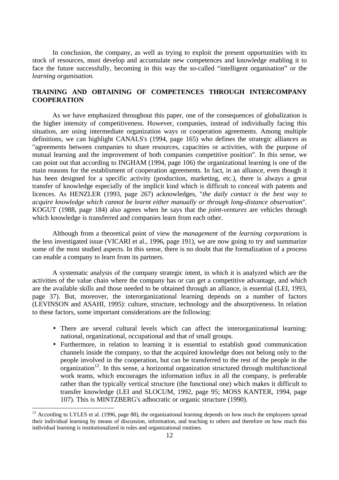In conclusion, the company, as well as trying to exploit the present opportunities with its stock of resources, must develop and accumulate new competences and knowledge enabling it to face the future successfully, becoming in this way the so-called "intelligent organisation" or the *learning organisation.*

## **TRAINING AND OBTAINING OF COMPETENCES THROUGH INTERCOMPANY COOPERATION**

As we have emphasized throughout this paper, one of the consequences of globalization is the higher intensity of competitiveness. However, companies, instead of individually facing this situation, are using intermediate organization ways or cooperation agreements. Among multiple definitions, we can highlight CANALS's (1994, page 165) who defines the strategic alliances as "agreements between companies to share resources, capacities or activities, with the purpose of mutual learning and the improvement of both companies competitive position". In this sense, we can point out that according to INGHAM (1994, page 106) the organizational learning is one of the main reasons for the establisment of cooperation agreements. In fact, in an alliance, even though it has been designed for a specific activity (production, marketing, etc.), there is always a great transfer of knowledge especially of the implicit kind which is difficult to conceal with patents and licences. As HENZLER (1993, page 267) acknowledges, "*the daily contact is the best way to acquire knowledge which cannot be learnt either manually or through long-distance observation*". KOGUT (1988, page 184) also agrees when he says that the *joint-ventures* are vehicles through which knowledge is transferred and companies learn from each other.

Although from a theoretical point of view the *management* of the *learning corporations* is the less investigated issue (VICARI et al., 1996, page 191), we are now going to try and summarize some of the most studied aspects. In this sense, there is no doubt that the formalization of a process can enable a company to learn from its partners.

A systematic analysis of the company strategic intent, in which it is analyzed which are the activities of the value chain where the company has or can get a competitive advantage, and which are the available skills and those needed to be obtained through an alliance, is essential (LEI, 1993, page 37). But, moreover, the interorganizational learning depends on a number of factors (LEVINSON and ASAHI, 1995): culture, structure, technology and the absorptiveness. In relation to these factors, some important considerations are the following:

- There are several cultural levels which can affect the interorganizational learning: national, organizational, occupational and that of small groups.
- Furthermore, in relation to learning it is essential to establish good communication channels inside the company, so that the acquired knowledge does not belong only to the people involved in the cooperation, but can be transferred to the rest of the people in the organization<sup>12</sup>. In this sense, a horizontal organization structured through multifunctional work teams, which encourages the information influx in all the company, is preferable rather than the typically vertical structure (the functional one) which makes it difficult to transfer knowledge (LEI and SLOCUM, 1992, page 95; MOSS KANTER, 1994, page 107). This is MINTZBERG's adhocratic or organic structure (1990).

 $\overline{a}$ 

 $12$  According to LYLES et al. (1996, page 88), the organizational learning depends on how much the employees spread their individual learning by means of discussion, information, and teaching to others and therefore on how much this individual learning is institutionalized in rules and organizational routines.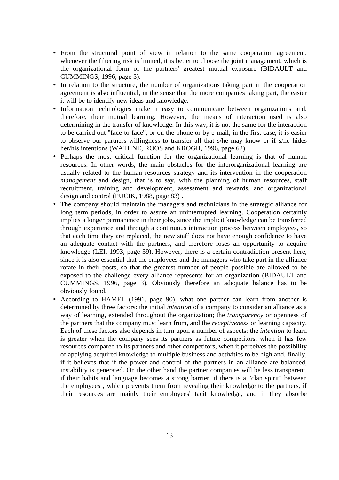- From the structural point of view in relation to the same cooperation agreement, whenever the filtering risk is limited, it is better to choose the joint management, which is the organizational form of the partners' greatest mutual exposure (BIDAULT and CUMMINGS, 1996, page 3).
- In relation to the structure, the number of organizations taking part in the cooperation agreement is also influential, in the sense that the more companies taking part, the easier it will be to identify new ideas and knowledge.
- Information technologies make it easy to communicate between organizations and, therefore, their mutual learning. However, the means of interaction used is also determining in the transfer of knowledge. In this way, it is not the same for the interaction to be carried out "face-to-face", or on the phone or by e-mail; in the first case, it is easier to observe our partners willingness to transfer all that s/he may know or if s/he hides her/his intentions (WATHNE, ROOS and KROGH, 1996, page 62).
- Perhaps the most critical function for the organizational learning is that of human resources. In other words, the main obstacles for the interorganizational learning are usually related to the human resources strategy and its intervention in the cooperation *management* and design, that is to say, with the planning of human resources, staff recruitment, training and development, assessment and rewards, and organizational design and control (PUCIK, 1988, page 83) .
- The company should maintain the managers and technicians in the strategic alliance for long term periods, in order to assure an uninterrupted learning. Cooperation certainly implies a longer permanence in their jobs, since the implicit knowledge can be transferred through experience and through a continuous interaction process between employees, so that each time they are replaced, the new staff does not have enough confidence to have an adequate contact with the partners, and therefore loses an opportunity to acquire knowledge (LEI, 1993, page 39). However, there is a certain contradiction present here, since it is also essential that the employees and the managers who take part in the alliance rotate in their posts, so that the greatest number of people possible are allowed to be exposed to the challenge every alliance represents for an organization (BIDAULT and CUMMINGS, 1996, page 3). Obviously therefore an adequate balance has to be obviously found.
- According to HAMEL (1991, page 90), what one partner can learn from another is determined by three factors: the initial *intention* of a company to consider an alliance as a way of learning, extended throughout the organization; the *transparency* or openness of the partners that the company must learn from, and the *receptiveness* or learning capacity. Each of these factors also depends in turn upon a number of aspects: the *intention* to learn is greater when the company sees its partners as future competitors, when it has few resources compared to its partners and other competitors, when it perceives the possibility of applying acquired knowledge to multiple business and activities to be high and, finally, if it believes that if the power and control of the partners in an alliance are balanced, instability is generated. On the other hand the partner companies will be less transparent, if their habits and language becomes a strong barrier, if there is a "clan spirit" between the employees , which prevents them from revealing their knowledge to the partners, if their resources are mainly their employees' tacit knowledge, and if they absorbe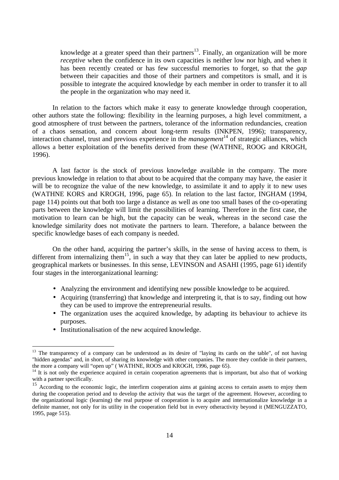knowledge at a greater speed than their partners<sup>13</sup>. Finally, an organization will be more *receptive* when the confidence in its own capacities is neither low nor high, and when it has been recently created or has few successful memories to forget, so that the *gap* between their capacities and those of their partners and competitors is small, and it is possible to integrate the acquired knowledge by each member in order to transfer it to all the people in the organization who may need it.

In relation to the factors which make it easy to generate knowledge through cooperation, other authors state the following: flexibility in the learning purposes, a high level commitment, a good atmosphere of trust between the partners, tolerance of the information redundancies, creation of a chaos sensation, and concern about long-term results (INKPEN, 1996); transparency, interaction channel, trust and previous experience in the *management*<sup>14</sup> of strategic alliances, which allows a better exploitation of the benefits derived from these (WATHNE, ROOG and KROGH, 1996).

A last factor is the stock of previous knowledge available in the company. The more previous knowledge in relation to that about to be acquired that the company may have, the easier it will be to recognize the value of the new knowledge, to assimilate it and to apply it to new uses (WATHNE KORS and KROGH, 1996, page 65). In relation to the last factor, INGHAM (1994, page 114) points out that both too large a distance as well as one too small bases of the co-operating parts between the knowledge will limit the possibilities of learning. Therefore in the first case, the motivation to learn can be high, but the capacity can be weak, whereas in the second case the knowledge similarity does not motivate the partners to learn. Therefore, a balance between the specific knowledge bases of each company is needed.

On the other hand, acquiring the partner's skills, in the sense of having access to them, is different from internalizing them<sup>15</sup>, in such a way that they can later be applied to new products, geographical markets or businesses. In this sense, LEVINSON and ASAHI (1995, page 61) identify four stages in the interorganizational learning:

- Analyzing the environment and identifying new possible knowledge to be acquired.
- Acquiring (transferring) that knowledge and interpreting it, that is to say, finding out how they can be used to improve the entrepreneurial results.
- The organization uses the acquired knowledge, by adapting its behaviour to achieve its purposes.
- Institutionalisation of the new acquired knowledge.

 $\overline{a}$ 

<sup>&</sup>lt;sup>13</sup> The transparency of a company can be understood as its desire of "laying its cards on the table", of not having "hidden agendas" and, in short, of sharing its knowledge with other companies. The more they confide in their partners, the more a company will "open up" ( WATHNE, ROOS and KROGH, 1996, page 65).

 $14$  It is not only the experience acquired in certain cooperation agreements that is important, but also that of working with a partner specifically.

<sup>&</sup>lt;sup>15</sup> According to the economic logic, the interfirm cooperation aims at gaining access to certain assets to enjoy them  $\frac{15}{15}$ during the cooperation period and to develop the activity that was the target of the agreement. However, according to the organizational logic (learning) the real purpose of cooperation is to acquire and internationalize knowledge in a definite manner, not only for its utility in the cooperation field but in every otheractivity beyond it (MENGUZZATO, 1995, page 515).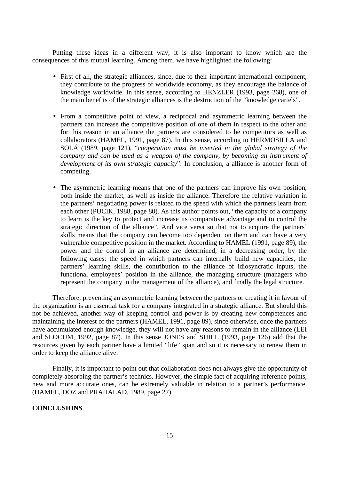Putting these ideas in a different way, it is also important to know which are the consequences of this mutual learning. Among them, we have highlighted the following:

- First of all, the strategic alliances, since, due to their important international component, they contribute to the progress of worldwide economy, as they encourage the balance of knowledge worldwide. In this sense, according to HENZLER (1993, page 268), one of the main benefits of the strategic alliances is the destruction of the "knowledge cartels".
- From a competitive point of view, a reciprocal and asymmetric learning between the partners can increase the competitive position of one of them in respect to the other and for this reason in an alliance the partners are considered to be competitors as well as collaborators (HAMEL, 1991, page 87). In this sense, according to HERMOSILLA and SOLÁ (1989, page 121), "*cooperation must be inserted in the global strategy of the company and can be used as a weapon of the company, by becoming an instrument of development of its own strategic capacity*". In conclusion, a alliance is another form of competing.
- The asymmetric learning means that one of the partners can improve his own position, both inside the market, as well as inside the alliance. Therefore the relative variation in the partners' negotiating power is related to the speed with which the partners learn from each other (PUCIK, 1988, page 80). As this author points out, "the capacity of a company to learn is the key to protect and increase its comparative advantage and to control the strategic direction of the alliance". And vice versa so that not to acquire the partners' skills means that the company can become too dependent on them and can have a very vulnerable competitive position in the market. According to HAMEL (1991, page 89), the power and the control in an alliance are determined, in a decreasing order, by the following cases: the speed in which partners can internally build new capacities, the partners' learning skills, the contribution to the alliance of idiosyncratic inputs, the functional employees' position in the alliance, the managing structure (managers who represent the company in the management of the alliance), and finally the legal structure.

Therefore, preventing an asymmetric learning between the partners or creating it in favour of the organization is an essential task for a company integrated in a strategic alliance. But should this not be achieved, another way of keeping control and power is by creating new competences and maintaining the interest of the partners (HAMEL, 1991, page 89), since otherwise, once the partners have accumulated enough knowledge, they will not have any reasons to remain in the alliance (LEI and SLOCUM, 1992, page 87). In this sense JONES and SHILL (1993, page 126) add that the resources given by each partner have a limited "life" span and so it is necessary to renew them in order to keep the alliance alive.

Finally, it is important to point out that collaboration does not always give the opportunity of completely absorbing the partner's technics. However, the simple fact of acquiring reference points, new and more accurate ones, can be extremely valuable in relation to a partner's performance. (HAMEL, DOZ and PRAHALAD, 1989, page 27).

## **CONCLUSIONS**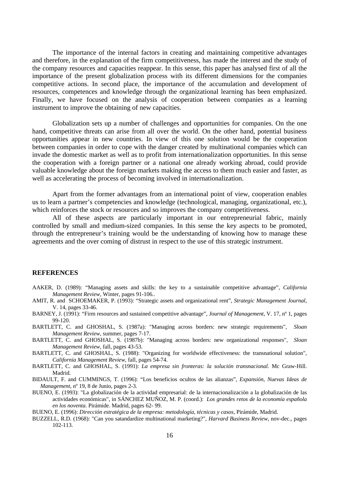The importance of the internal factors in creating and maintaining competitive advantages and therefore, in the explanation of the firm competitiveness, has made the interest and the study of the company resources and capacities reappear. In this sense, this paper has analysed first of all the importance of the present globalization process with its different dimensions for the companies competitive actions. In second place, the importance of the accumulation and development of resources, competences and knowledge through the organizational learning has been emphasized. Finally, we have focused on the analysis of cooperation between companies as a learning instrument to improve the obtaining of new capacities.

Globalization sets up a number of challenges and opportunities for companies. On the one hand, competitive threats can arise from all over the world. On the other hand, potential business opportunities appear in new countries. In view of this one solution would be the cooperation between companies in order to cope with the danger created by multinational companies which can invade the domestic market as well as to profit from internationalization opportunities. In this sense the cooperation with a foreign partner or a national one already working abroad, could provide valuable knowledge about the foreign markets making the access to them much easier and faster, as well as accelerating the process of becoming involved in internationalization.

Apart from the former advantages from an international point of view, cooperation enables us to learn a partner's competencies and knowledge (technological, managing, organizational, etc.), which reinforces the stock or resources and so improves the company competitiveness.

All of these aspects are particularly important in our entrepreneurial fabric, mainly controlled by small and medium-sized companies. In this sense the key aspects to be promoted, through the entrepreneur's training would be the understanding of knowing how to manage these agreements and the over coming of distrust in respect to the use of this strategic instrument.

### **REFERENCES**

- AAKER, D. (1989): "Managing assets and skills: the key to a sustainable competitive advantage", *California Management Review*, Winter, pages 91-106..
- AMIT, R. and SCHOEMAKER, P. (1993): "Strategic assets and organizational rent", *Strategic Management Journal*, V. 14, pages 33-46.
- BARNEY, J. (1991): "Firm resources and sustained competitive advantage", *Journal of Management*, V. 17, nº 1, pages 99-120.
- BARTLETT, C. and GHOSHAL, S. (1987a): "Managing across borders: new strategic requirements", *Sloan Management Review*, summer, pages 7-17.
- BARTLETT, C. and GHOSHAL, S. (1987b): "Managing across borders: new organizational responses", *Sloan Management Review*, fall, pages 43-53.
- BARTLETT, C. and GHOSHAL, S. (1988): "Organizing for worldwide effectiveness: the transnational solution", *California Management Review*, fall, pages 54-74.
- BARTLETT, C. and GHOSHAL, S. (1991): *La empresa sin fronteras: la solución transnacional.* Mc Graw-Hill. Madrid.
- BIDAULT, F. and CUMMINGS, T. (1996): "Los beneficios ocultos de las alianzas", *Expansión, Nuevas Ideas de Management*, nº 19, 8 de Junio, pages 2-3*.*
- BUENO, E. (1993): "La globalización de la actividad empresarial: de la internacionalización a la globalización de las actividades económicas", in SÁNCHEZ MUÑOZ, M. P. (coord.): *Los grandes retos de la economía española en los noventa*. Pirámide. Madrid, pages 62- 99.

BUENO, E. (1996): *Dirección estratégica de la empresa: metodología, técnicas y casos*, Pirámide, Madrid.

BUZZELL, R.D. (1968): "Can you satandardize multinational marketing?", *Harvard Business Review*, nov-dec., pages 102-113.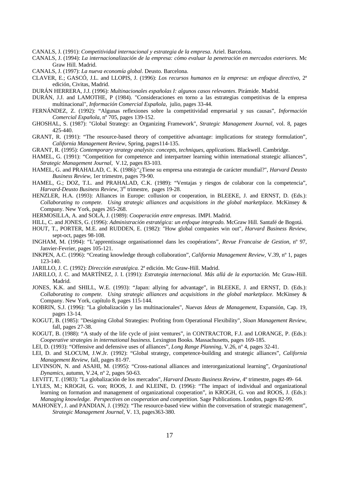CANALS, J. (1991): *Competitividad internacional y estrategia de la empresa.* Ariel. Barcelona.

CANALS, J. (1994): *La internacionalización de la empresa: cómo evaluar la penetración en mercados exteriores.* Mc Graw Hill. Madrid.

CANALS, J. (1997): *La nueva economía global*. Deusto. Barcelona.

CLAVER, E.; GASCÓ, J.L. and LLOPIS, J. (1996): *Los recursos humanos en la empresa: un enfoque directivo*, 2ª edición, Civitas, Madrid.

DURÁN HERRERA, J.J. (1996): *Multinacionales españolas I: algunos casos relevantes*. Pirámide. Madrid.

- DURÁN, J.J. and LAMOTHE, P (1984). "Consideraciones en torno a las estrategias competitivas de la empresa multinacional", *Información Comercial Española,* julio, pages 33-44.
- FERNÁNDEZ, Z. (1992): "Algunas reflexiones sobre la competitividad empresarial y sus causas", *Información Comercial Española*, nº 705, pages 139-152.
- GHOSHAL, S. (1987): "Global Strategy: an Organizing Framework", *Strategic Management Journal*, vol. 8, pages 425-440.
- GRANT, R. (1991): "The resource-based theory of competitive advantage: implications for strategy formulation", *California Management Review*, Spring, pages114-135.
- GRANT, R. (1995): *Contemporary strategy analysis: concepts, techniques, applications.* Blackwell. Cambridge.
- HAMEL, G. (1991): "Competition for competence and interpartner learning within international strategic alliances", *Strategic Management Journal*, V.12, pages 83-103.
- HAMEL, G. and PRAHALAD, C. K. (1986):"¿Tiene su empresa una estrategia de carácter mundial?", *Harvard Deusto Business Review,* 1er trimestre, pages 79-90.
- HAMEL, G.; DOZ, T.L. and PRAHALAD, C.K. (1989): "Ventajas y riesgos de colaborar con la competencia", *Harvard-Deusto Business Review*, 3<sup>er</sup> trimestre, pages 19-28.
- HENZLER, H.A. (1993): Alliances in Europe: collusion or cooperation, in BLEEKE, J. and ERNST, D. (Eds.): *Collaborating to compete. Using strategic alliances and acquisitions in the global marketplace.* McKinsey & Company. New York, pages 265-268.

HERMOSILLA, A. and SOLÁ, J. (1989): *Cooperación entre empresas.* IMPI. Madrid.

- HILL, C. and JONES, G. (1996): *Administración estratégica: un enfoque integrado.* McGraw Hill. Santafé de Bogotá.
- HOUT, T., PORTER, M.E. and RUDDEN, E. (1982): "How global companies win out", *Harvard Business Review*, sept-oct, pages 98-108.
- INGHAM, M. (1994): "L'apprentissage organisationnel dans les coopérations", *Revue Francaise de Gestion*, nº 97, Janvier-Fevrier, pages 105-121.
- INKPEN, A.C. (1996): "Creating knowledge through collaboration", *California Management Review*, V.39, nº 1, pages 123-140.
- JARILLO, J. C. (1992): *Dirección estratégica.* 2ª edición. Mc Graw-Hill. Madrid.
- JARILLO, J. C. and MARTÍNEZ, J. I. (1991): *Estrategia internacional. Más allá de la exportación.* Mc Graw-Hill. Madrid.
- JONES, K.K. and SHILL, W.E. (1993): "Japan: allying for advantage", in BLEEKE, J. and ERNST, D. (Eds.): *Collaborating to compete. Using strategic alliances and acquisitions in the global marketplace.* McKinsey & Company. New York, capítulo 8, pages 115-144.
- KOBRIN, S.J. (1996): "La globalización y las multinacionales", *Nuevas Ideas de Management,* Expansión, Cap. 19, pages 13-14.
- KOGUT, B. (1985): "Designing Global Strategies: Profiting from Operational Flexibility", *Sloan Management Review*, fall, pages 27-38.
- KOGUT, B. (1988): "A study of the life cycle of joint ventures", in CONTRACTOR, F.J. and LORANGE, P. (Eds.): *Cooperative strategies in international business.* Lexington Books. Massachusetts, pages 169-185.
- LEI, D. (1993): "Offensive and defensive uses of alliances", *Long Range Planning*, V.26, nº 4, pages 32-41.
- LEI, D. and SLOCUM, J.W.Jr. (1992): "Global strategy, competence-building and strategic alliances", *California Management Review*, fall, pages 81-97.
- LEVINSON, N. and ASAHI, M. (1995): "Cross-national alliances and interorganizational learning", *Organizational Dynamics*, autumn, V.24, nº 2, pages 50-63.
- LEVITT, T. (1983): "La globalización de los mercados", *Harvard Deusto Business Review,* 4º trimestre, pages 49- 64.
- LYLES, M.; KROGH, G. von; ROOS, J. and KLEINE, D. (1996): "The impact of individual and organizational learning on formation and management of organizational cooperation", in KROGH, G. von and ROOS, J. (Eds.): *Managing knowledge. Perspectives on cooperation and competition.* Sage Publications. London, pages 82-99.
- MAHONEY, J. and PANDIAN, J. (1992): "The resource-based view within the conversation of strategic management", *Strategic Management Journal*, V. 13, pages363-380.